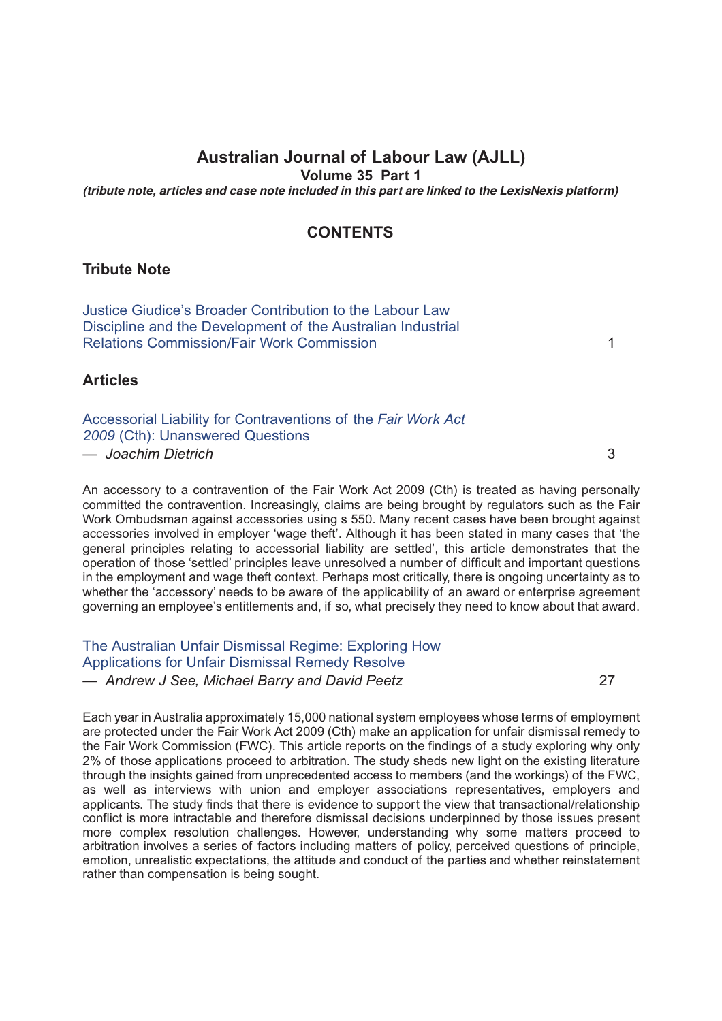# **Australian Journal of Labour Law (AJLL)**

**Volume 35 Part 1**

*(tribute note, articles and case note included in this part are linked to the LexisNexis platform)*

## **CONTENTS**

#### **Tribute Note**

[Justice Giudice's Broader Contribution to the Labour Law](http://advance.lexis.com/api/document?idtype=DOC-ID&id=005M-35AJLL1) [Discipline and the Development of the Australian Industrial](http://advance.lexis.com/api/document?idtype=DOC-ID&id=005M-35AJLL1) [Relations Commission/Fair Work Commission](http://advance.lexis.com/api/document?idtype=DOC-ID&id=005M-35AJLL1) 1

**Articles**

[Accessorial Liability for Contraventions of the](http://advance.lexis.com/api/document?idtype=DOC-ID&id=005M-35AJLL3) *Fair Work Act 2009* [\(Cth\): Unanswered Questions](http://advance.lexis.com/api/document?idtype=DOC-ID&id=005M-35AJLL3) *— Joachim Dietrich* 3

An accessory to a contravention of the Fair Work Act 2009 (Cth) is treated as having personally committed the contravention. Increasingly, claims are being brought by regulators such as the Fair Work Ombudsman against accessories using s 550. Many recent cases have been brought against accessories involved in employer 'wage theft'. Although it has been stated in many cases that 'the general principles relating to accessorial liability are settled', this article demonstrates that the operation of those 'settled' principles leave unresolved a number of difficult and important questions in the employment and wage theft context. Perhaps most critically, there is ongoing uncertainty as to whether the 'accessory' needs to be aware of the applicability of an award or enterprise agreement governing an employee's entitlements and, if so, what precisely they need to know about that award.

# [The Australian Unfair Dismissal Regime: Exploring How](http://advance.lexis.com/api/document?idtype=DOC-ID&id=005M-35AJLL27) [Applications for Unfair Dismissal Remedy Resolve](http://advance.lexis.com/api/document?idtype=DOC-ID&id=005M-35AJLL27)

*— Andrew J See, Michael Barry and David Peetz* 27

Each year in Australia approximately 15,000 national system employees whose terms of employment are protected under the Fair Work Act 2009 (Cth) make an application for unfair dismissal remedy to the Fair Work Commission (FWC). This article reports on the findings of a study exploring why only 2% of those applications proceed to arbitration. The study sheds new light on the existing literature through the insights gained from unprecedented access to members (and the workings) of the FWC, as well as interviews with union and employer associations representatives, employers and applicants. The study finds that there is evidence to support the view that transactional/relationship conflict is more intractable and therefore dismissal decisions underpinned by those issues present more complex resolution challenges. However, understanding why some matters proceed to arbitration involves a series of factors including matters of policy, perceived questions of principle, emotion, unrealistic expectations, the attitude and conduct of the parties and whether reinstatement rather than compensation is being sought.